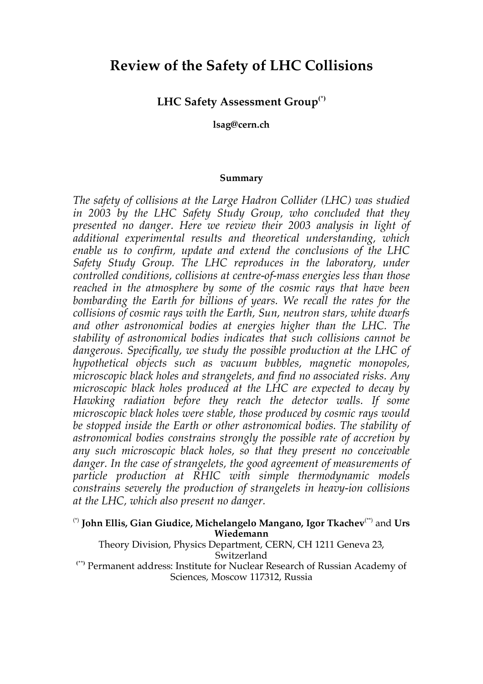# **Review of the Safety of LHC Collisions**

**LHC Safety Assessment Group(\*)**

**lsag@cern.ch**

#### **Summary**

*The safety of collisions at the Large Hadron Collider (LHC) was studied in 2003 by the LHC Safety Study Group, who concluded that they presented no danger. Here we review their 2003 analysis in light of additional experimental results and theoretical understanding, which enable us to confirm, update and extend the conclusions of the LHC Safety Study Group. The LHC reproduces in the laboratory, under controlled conditions, collisions at centre-of-mass energies less than those reached in the atmosphere by some of the cosmic rays that have been bombarding the Earth for billions of years. We recall the rates for the collisions of cosmic rays with the Earth, Sun, neutron stars, white dwarfs and other astronomical bodies at energies higher than the LHC. The stability of astronomical bodies indicates that such collisions cannot be dangerous. Specifically, we study the possible production at the LHC of hypothetical objects such as vacuum bubbles, magnetic monopoles, microscopic black holes and strangelets, and find no associated risks. Any microscopic black holes produced at the LHC are expected to decay by Hawking radiation before they reach the detector walls. If some microscopic black holes were stable, those produced by cosmic rays would be stopped inside the Earth or other astronomical bodies. The stability of astronomical bodies constrains strongly the possible rate of accretion by any such microscopic black holes, so that they present no conceivable danger. In the case of strangelets, the good agreement of measurements of particle production at RHIC with simple thermodynamic models constrains severely the production of strangelets in heavy-ion collisions at the LHC, which also present no danger.*

(\*) **John Ellis, Gian Giudice, Michelangelo Mangano, Igor Tkachev**(\*\*) and **Urs Wiedemann**

Theory Division, Physics Department, CERN, CH 1211 Geneva 23, **Switzerland** 

**(\*\*)** Permanent address: Institute for Nuclear Research of Russian Academy of Sciences, Moscow 117312, Russia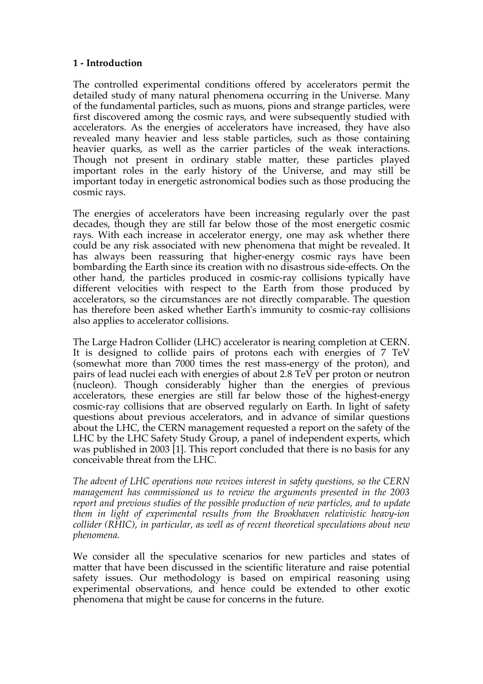### **1 - Introduction**

The controlled experimental conditions offered by accelerators permit the detailed study of many natural phenomena occurring in the Universe. Many of the fundamental particles, such as muons, pions and strange particles, were first discovered among the cosmic rays, and were subsequently studied with accelerators. As the energies of accelerators have increased, they have also revealed many heavier and less stable particles, such as those containing heavier quarks, as well as the carrier particles of the weak interactions. Though not present in ordinary stable matter, these particles played important roles in the early history of the Universe, and may still be important today in energetic astronomical bodies such as those producing the cosmic rays.

The energies of accelerators have been increasing regularly over the past decades, though they are still far below those of the most energetic cosmic rays. With each increase in accelerator energy, one may ask whether there could be any risk associated with new phenomena that might be revealed. It has always been reassuring that higher-energy cosmic rays have been bombarding the Earth since its creation with no disastrous side-effects. On the other hand, the particles produced in cosmic-ray collisions typically have different velocities with respect to the Earth from those produced by accelerators, so the circumstances are not directly comparable. The question has therefore been asked whether Earth's immunity to cosmic-ray collisions also applies to accelerator collisions.

The Large Hadron Collider (LHC) accelerator is nearing completion at CERN. It is designed to collide pairs of protons each with energies of 7 TeV (somewhat more than 7000 times the rest mass-energy of the proton), and pairs of lead nuclei each with energies of about 2.8 TeV per proton or neutron (nucleon). Though considerably higher than the energies of previous accelerators, these energies are still far below those of the highest-energy cosmic-ray collisions that are observed regularly on Earth. In light of safety questions about previous accelerators, and in advance of similar questions about the LHC, the CERN management requested a report on the safety of the LHC by the LHC Safety Study Group, a panel of independent experts, which was published in 2003 [1]. This report concluded that there is no basis for any conceivable threat from the LHC.

*The advent of LHC operations now revives interest in safety questions, so the CERN management has commissioned us to review the arguments presented in the 2003 report and previous studies of the possible production of new particles, and to update them in light of experimental results from the Brookhaven relativistic heavy-ion collider (RHIC), in particular, as well as of recent theoretical speculations about new phenomena.*

We consider all the speculative scenarios for new particles and states of matter that have been discussed in the scientific literature and raise potential safety issues. Our methodology is based on empirical reasoning using experimental observations, and hence could be extended to other exotic phenomena that might be cause for concerns in the future.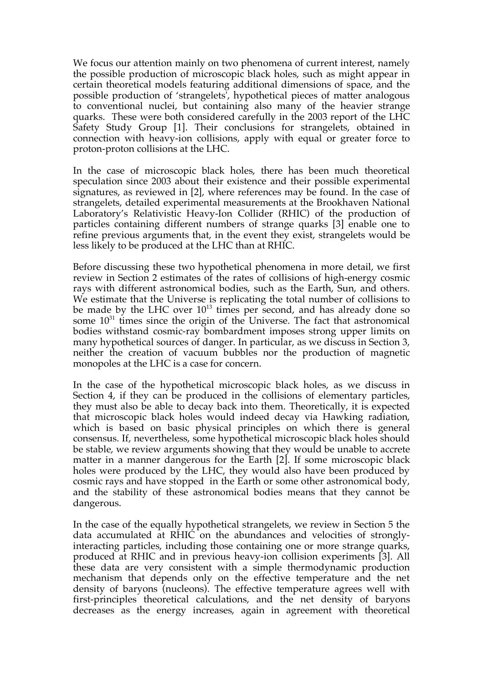We focus our attention mainly on two phenomena of current interest, namely the possible production of microscopic black holes, such as might appear in certain theoretical models featuring additional dimensions of space, and the possible production of 'strangelets', hypothetical pieces of matter analogous to conventional nuclei, but containing also many of the heavier strange quarks. These were both considered carefully in the 2003 report of the LHC Safety Study Group [1]. Their conclusions for strangelets, obtained in connection with heavy-ion collisions, apply with equal or greater force to proton-proton collisions at the LHC.

In the case of microscopic black holes, there has been much theoretical speculation since 2003 about their existence and their possible experimental signatures, as reviewed in [2], where references may be found. In the case of strangelets, detailed experimental measurements at the Brookhaven National Laboratory's Relativistic Heavy-Ion Collider (RHIC) of the production of particles containing different numbers of strange quarks [3] enable one to refine previous arguments that, in the event they exist, strangelets would be less likely to be produced at the LHC than at RHIC.

Before discussing these two hypothetical phenomena in more detail, we first review in Section 2 estimates of the rates of collisions of high-energy cosmic rays with different astronomical bodies, such as the Earth, Sun, and others. We estimate that the Universe is replicating the total number of collisions to be made by the LHC over  $10^{13}$  times per second, and has already done so some  $10^{31}$  times since the origin of the Universe. The fact that astronomical bodies withstand cosmic-ray bombardment imposes strong upper limits on many hypothetical sources of danger. In particular, as we discuss in Section 3, neither the creation of vacuum bubbles nor the production of magnetic monopoles at the LHC is a case for concern.

In the case of the hypothetical microscopic black holes, as we discuss in Section 4, if they can be produced in the collisions of elementary particles, they must also be able to decay back into them. Theoretically, it is expected that microscopic black holes would indeed decay via Hawking radiation, which is based on basic physical principles on which there is general consensus. If, nevertheless, some hypothetical microscopic black holes should be stable, we review arguments showing that they would be unable to accrete matter in a manner dangerous for the Earth [2]. If some microscopic black holes were produced by the LHC, they would also have been produced by cosmic rays and have stopped in the Earth or some other astronomical body, and the stability of these astronomical bodies means that they cannot be dangerous.

In the case of the equally hypothetical strangelets, we review in Section 5 the data accumulated at RHIC on the abundances and velocities of stronglyinteracting particles, including those containing one or more strange quarks, produced at RHIC and in previous heavy-ion collision experiments [3]. All these data are very consistent with a simple thermodynamic production mechanism that depends only on the effective temperature and the net density of baryons (nucleons). The effective temperature agrees well with first-principles theoretical calculations, and the net density of baryons decreases as the energy increases, again in agreement with theoretical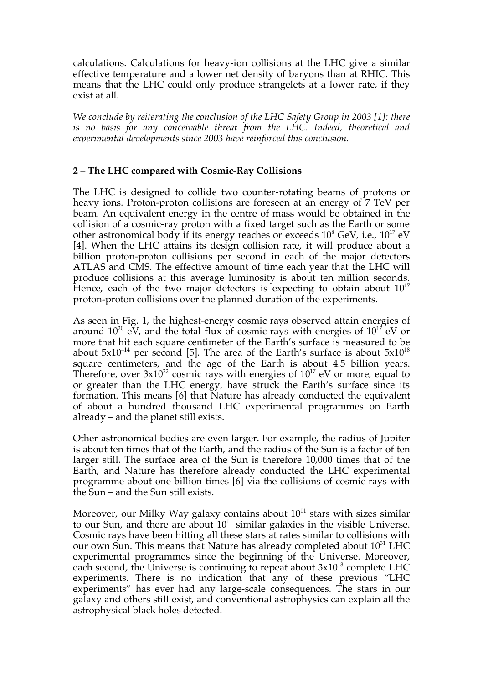calculations. Calculations for heavy-ion collisions at the LHC give a similar effective temperature and a lower net density of baryons than at RHIC. This means that the LHC could only produce strangelets at a lower rate, if they exist at all.

*We conclude by reiterating the conclusion of the LHC Safety Group in 2003 [1]: there is no basis for any conceivable threat from the LHC. Indeed, theoretical and experimental developments since 2003 have reinforced this conclusion.*

## **2 – The LHC compared with Cosmic-Ray Collisions**

The LHC is designed to collide two counter-rotating beams of protons or heavy ions. Proton-proton collisions are foreseen at an energy of 7 TeV per beam. An equivalent energy in the centre of mass would be obtained in the collision of a cosmic-ray proton with a fixed target such as the Earth or some other astronomical body if its energy reaches or exceeds  $10^8$  GeV, i.e.,  $10^{17}$  eV [4]. When the LHC attains its design collision rate, it will produce about a billion proton-proton collisions per second in each of the major detectors ATLAS and CMS. The effective amount of time each year that the LHC will produce collisions at this average luminosity is about ten million seconds. Hence, each of the two major detectors is expecting to obtain about  $10^{17}$ proton-proton collisions over the planned duration of the experiments.

As seen in Fig. 1, the highest-energy cosmic rays observed attain energies of around  $10^{20}$  eV, and the total flux of cosmic rays with energies of  $10^{17}$  eV or more that hit each square centimeter of the Earth's surface is measured to be about  $5x10^{-14}$  per second [5]. The area of the Earth's surface is about  $5x10^{18}$ square centimeters, and the age of the Earth is about 4.5 billion years. Therefore, over  $3x10^{22}$  cosmic rays with energies of  $10^{17}$  eV or more, equal to or greater than the LHC energy, have struck the Earth's surface since its formation. This means [6] that Nature has already conducted the equivalent of about a hundred thousand LHC experimental programmes on Earth already – and the planet still exists.

Other astronomical bodies are even larger. For example, the radius of Jupiter is about ten times that of the Earth, and the radius of the Sun is a factor of ten larger still. The surface area of the Sun is therefore 10,000 times that of the Earth, and Nature has therefore already conducted the LHC experimental programme about one billion times [6] via the collisions of cosmic rays with the Sun – and the Sun still exists.

Moreover, our Milky Way galaxy contains about  $10^{11}$  stars with sizes similar to our Sun, and there are about  $10^{11}$  similar galaxies in the visible Universe. Cosmic rays have been hitting all these stars at rates similar to collisions with our own Sun. This means that Nature has already completed about  $10^{31}$  LHC experimental programmes since the beginning of the Universe. Moreover, each second, the Universe is continuing to repeat about  $3x10^{13}$  complete LHC experiments. There is no indication that any of these previous "LHC experiments" has ever had any large-scale consequences. The stars in our galaxy and others still exist, and conventional astrophysics can explain all the astrophysical black holes detected.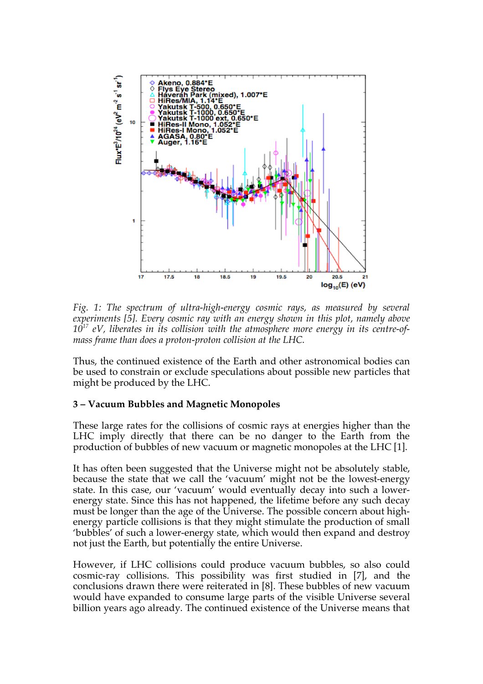

*Fig. 1: The spectrum of ultra-high-energy cosmic rays, as measured by several experiments [5]. Every cosmic ray with an energy shown in this plot, namely above 1017 eV, liberates in its collision with the atmosphere more energy in its centre-ofmass frame than does a proton-proton collision at the LHC.*

Thus, the continued existence of the Earth and other astronomical bodies can be used to constrain or exclude speculations about possible new particles that might be produced by the LHC.

#### **3 – Vacuum Bubbles and Magnetic Monopoles**

These large rates for the collisions of cosmic rays at energies higher than the LHC imply directly that there can be no danger to the Earth from the production of bubbles of new vacuum or magnetic monopoles at the LHC [1].

It has often been suggested that the Universe might not be absolutely stable, because the state that we call the 'vacuum' might not be the lowest-energy state. In this case, our 'vacuum' would eventually decay into such a lowerenergy state. Since this has not happened, the lifetime before any such decay must be longer than the age of the Universe. The possible concern about highenergy particle collisions is that they might stimulate the production of small 'bubbles' of such a lower-energy state, which would then expand and destroy not just the Earth, but potentially the entire Universe.

However, if LHC collisions could produce vacuum bubbles, so also could cosmic-ray collisions. This possibility was first studied in [7], and the conclusions drawn there were reiterated in [8]. These bubbles of new vacuum would have expanded to consume large parts of the visible Universe several billion years ago already. The continued existence of the Universe means that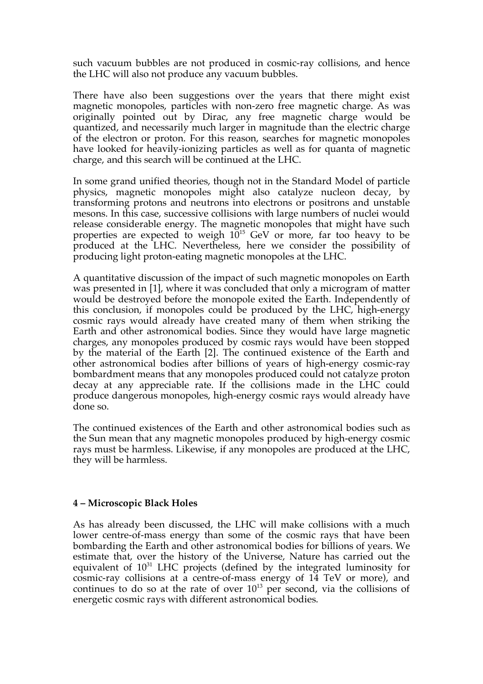such vacuum bubbles are not produced in cosmic-ray collisions, and hence the LHC will also not produce any vacuum bubbles.

There have also been suggestions over the years that there might exist magnetic monopoles, particles with non-zero free magnetic charge. As was originally pointed out by Dirac, any free magnetic charge would be quantized, and necessarily much larger in magnitude than the electric charge of the electron or proton. For this reason, searches for magnetic monopoles have looked for heavily-ionizing particles as well as for quanta of magnetic charge, and this search will be continued at the LHC.

In some grand unified theories, though not in the Standard Model of particle physics, magnetic monopoles might also catalyze nucleon decay, by transforming protons and neutrons into electrons or positrons and unstable mesons. In this case, successive collisions with large numbers of nuclei would release considerable energy. The magnetic monopoles that might have such properties are expected to weigh  $10^{15}$  GeV or more, far too heavy to be produced at the LHC. Nevertheless, here we consider the possibility of producing light proton-eating magnetic monopoles at the LHC.

A quantitative discussion of the impact of such magnetic monopoles on Earth was presented in [1], where it was concluded that only a microgram of matter would be destroyed before the monopole exited the Earth. Independently of this conclusion, if monopoles could be produced by the LHC, high-energy cosmic rays would already have created many of them when striking the Earth and other astronomical bodies. Since they would have large magnetic charges, any monopoles produced by cosmic rays would have been stopped by the material of the Earth [2]. The continued existence of the Earth and other astronomical bodies after billions of years of high-energy cosmic-ray bombardment means that any monopoles produced could not catalyze proton decay at any appreciable rate. If the collisions made in the LHC could produce dangerous monopoles, high-energy cosmic rays would already have done so.

The continued existences of the Earth and other astronomical bodies such as the Sun mean that any magnetic monopoles produced by high-energy cosmic rays must be harmless. Likewise, if any monopoles are produced at the LHC, they will be harmless.

#### **4 – Microscopic Black Holes**

As has already been discussed, the LHC will make collisions with a much lower centre-of-mass energy than some of the cosmic rays that have been bombarding the Earth and other astronomical bodies for billions of years. We estimate that, over the history of the Universe, Nature has carried out the equivalent of  $10^{31}$  LHC projects (defined by the integrated luminosity for cosmic-ray collisions at a centre-of-mass energy of 14 TeV or more), and continues to do so at the rate of over  $10^{13}$  per second, via the collisions of energetic cosmic rays with different astronomical bodies.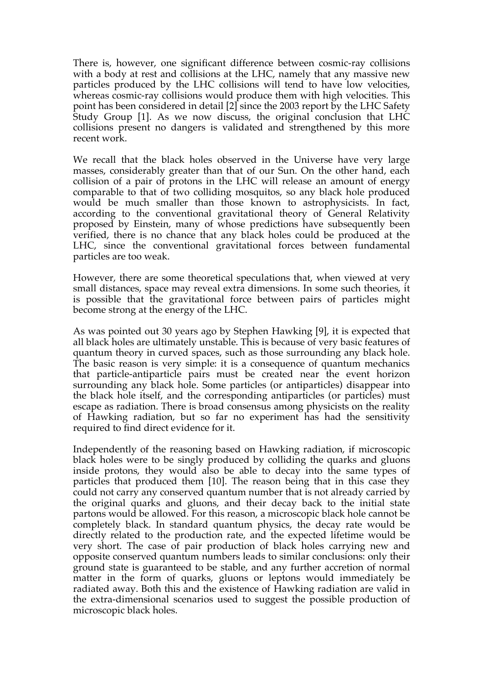There is, however, one significant difference between cosmic-ray collisions with a body at rest and collisions at the LHC, namely that any massive new particles produced by the LHC collisions will tend to have low velocities, whereas cosmic-ray collisions would produce them with high velocities. This point has been considered in detail  $[2]$  since the 2003 report by the LHC Safety Study Group [1]. As we now discuss, the original conclusion that LHC collisions present no dangers is validated and strengthened by this more recent work.

We recall that the black holes observed in the Universe have very large masses, considerably greater than that of our Sun. On the other hand, each collision of a pair of protons in the LHC will release an amount of energy comparable to that of two colliding mosquitos, so any black hole produced would be much smaller than those known to astrophysicists. In fact, according to the conventional gravitational theory of General Relativity proposed by Einstein, many of whose predictions have subsequently been verified, there is no chance that any black holes could be produced at the LHC, since the conventional gravitational forces between fundamental particles are too weak.

However, there are some theoretical speculations that, when viewed at very small distances, space may reveal extra dimensions. In some such theories, it is possible that the gravitational force between pairs of particles might become strong at the energy of the LHC.

As was pointed out 30 years ago by Stephen Hawking [9], it is expected that all black holes are ultimately unstable. This is because of very basic features of quantum theory in curved spaces, such as those surrounding any black hole. The basic reason is very simple: it is a consequence of quantum mechanics that particle-antiparticle pairs must be created near the event horizon surrounding any black hole. Some particles (or antiparticles) disappear into the black hole itself, and the corresponding antiparticles (or particles) must escape as radiation. There is broad consensus among physicists on the reality of Hawking radiation, but so far no experiment has had the sensitivity required to find direct evidence for it.

Independently of the reasoning based on Hawking radiation, if microscopic black holes were to be singly produced by colliding the quarks and gluons inside protons, they would also be able to decay into the same types of particles that produced them [10]. The reason being that in this case they could not carry any conserved quantum number that is not already carried by the original quarks and gluons, and their decay back to the initial state partons would be allowed. For this reason, a microscopic black hole cannot be completely black. In standard quantum physics, the decay rate would be directly related to the production rate, and the expected lifetime would be very short. The case of pair production of black holes carrying new and opposite conserved quantum numbers leads to similar conclusions: only their ground state is guaranteed to be stable, and any further accretion of normal matter in the form of quarks, gluons or leptons would immediately be radiated away. Both this and the existence of Hawking radiation are valid in the extra-dimensional scenarios used to suggest the possible production of microscopic black holes.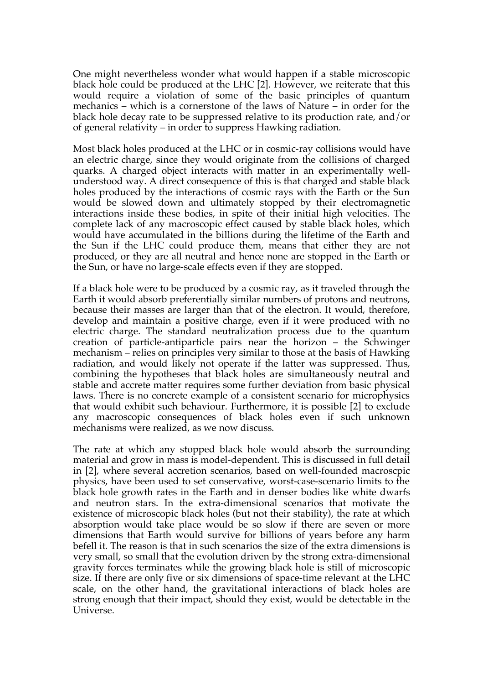One might nevertheless wonder what would happen if a stable microscopic black hole could be produced at the LHC [2]. However, we reiterate that this would require a violation of some of the basic principles of quantum mechanics – which is a cornerstone of the laws of Nature – in order for the black hole decay rate to be suppressed relative to its production rate, and/or of general relativity – in order to suppress Hawking radiation.

Most black holes produced at the LHC or in cosmic-ray collisions would have an electric charge, since they would originate from the collisions of charged quarks. A charged object interacts with matter in an experimentally wellunderstood way. A direct consequence of this is that charged and stable black holes produced by the interactions of cosmic rays with the Earth or the Sun would be slowed down and ultimately stopped by their electromagnetic interactions inside these bodies, in spite of their initial high velocities. The complete lack of any macroscopic effect caused by stable black holes, which would have accumulated in the billions during the lifetime of the Earth and the Sun if the LHC could produce them, means that either they are not produced, or they are all neutral and hence none are stopped in the Earth or the Sun, or have no large-scale effects even if they are stopped.

If a black hole were to be produced by a cosmic ray, as it traveled through the Earth it would absorb preferentially similar numbers of protons and neutrons, because their masses are larger than that of the electron. It would, therefore, develop and maintain a positive charge, even if it were produced with no electric charge. The standard neutralization process due to the quantum creation of particle-antiparticle pairs near the horizon – the Schwinger mechanism – relies on principles very similar to those at the basis of Hawking radiation, and would likely not operate if the latter was suppressed. Thus, combining the hypotheses that black holes are simultaneously neutral and stable and accrete matter requires some further deviation from basic physical laws. There is no concrete example of a consistent scenario for microphysics that would exhibit such behaviour. Furthermore, it is possible [2] to exclude any macroscopic consequences of black holes even if such unknown mechanisms were realized, as we now discuss.

The rate at which any stopped black hole would absorb the surrounding material and grow in mass is model-dependent. This is discussed in full detail in [2], where several accretion scenarios, based on well-founded macroscpic physics, have been used to set conservative, worst-case-scenario limits to the black hole growth rates in the Earth and in denser bodies like white dwarfs and neutron stars. In the extra-dimensional scenarios that motivate the existence of microscopic black holes (but not their stability), the rate at which absorption would take place would be so slow if there are seven or more dimensions that Earth would survive for billions of years before any harm befell it. The reason is that in such scenarios the size of the extra dimensions is very small, so small that the evolution driven by the strong extra-dimensional gravity forces terminates while the growing black hole is still of microscopic size. If there are only five or six dimensions of space-time relevant at the LHC scale, on the other hand, the gravitational interactions of black holes are strong enough that their impact, should they exist, would be detectable in the Universe.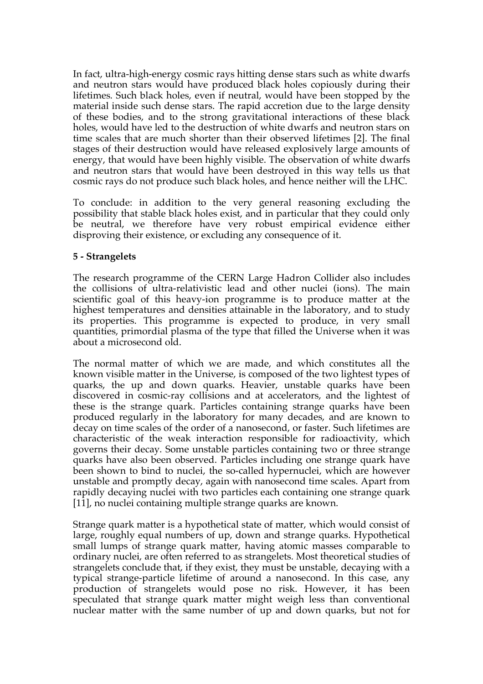In fact, ultra-high-energy cosmic rays hitting dense stars such as white dwarfs and neutron stars would have produced black holes copiously during their lifetimes. Such black holes, even if neutral, would have been stopped by the material inside such dense stars. The rapid accretion due to the large density of these bodies, and to the strong gravitational interactions of these black holes, would have led to the destruction of white dwarfs and neutron stars on time scales that are much shorter than their observed lifetimes [2]. The final stages of their destruction would have released explosively large amounts of energy, that would have been highly visible. The observation of white dwarfs and neutron stars that would have been destroyed in this way tells us that cosmic rays do not produce such black holes, and hence neither will the LHC.

To conclude: in addition to the very general reasoning excluding the possibility that stable black holes exist, and in particular that they could only be neutral, we therefore have very robust empirical evidence either disproving their existence, or excluding any consequence of it.

### **5 - Strangelets**

The research programme of the CERN Large Hadron Collider also includes the collisions of ultra-relativistic lead and other nuclei (ions). The main scientific goal of this heavy-ion programme is to produce matter at the highest temperatures and densities attainable in the laboratory, and to study its properties. This programme is expected to produce, in very small quantities, primordial plasma of the type that filled the Universe when it was about a microsecond old.

The normal matter of which we are made, and which constitutes all the known visible matter in the Universe, is composed of the two lightest types of quarks, the up and down quarks. Heavier, unstable quarks have been discovered in cosmic-ray collisions and at accelerators, and the lightest of these is the strange quark. Particles containing strange quarks have been produced regularly in the laboratory for many decades, and are known to decay on time scales of the order of a nanosecond, or faster. Such lifetimes are characteristic of the weak interaction responsible for radioactivity, which governs their decay. Some unstable particles containing two or three strange quarks have also been observed. Particles including one strange quark have been shown to bind to nuclei, the so-called hypernuclei, which are however unstable and promptly decay, again with nanosecond time scales. Apart from rapidly decaying nuclei with two particles each containing one strange quark [11], no nuclei containing multiple strange quarks are known.

Strange quark matter is a hypothetical state of matter, which would consist of large, roughly equal numbers of up, down and strange quarks. Hypothetical small lumps of strange quark matter, having atomic masses comparable to ordinary nuclei, are often referred to as strangelets. Most theoretical studies of strangelets conclude that, if they exist, they must be unstable, decaying with a typical strange-particle lifetime of around a nanosecond. In this case, any production of strangelets would pose no risk. However, it has been speculated that strange quark matter might weigh less than conventional nuclear matter with the same number of up and down quarks, but not for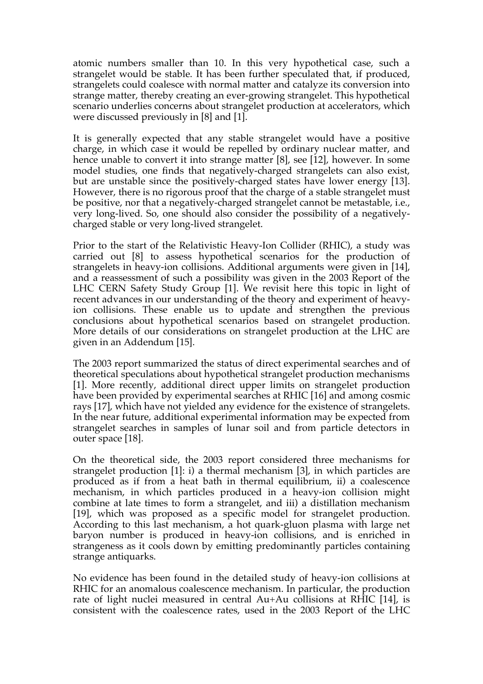atomic numbers smaller than 10. In this very hypothetical case, such a strangelet would be stable. It has been further speculated that, if produced, strangelets could coalesce with normal matter and catalyze its conversion into strange matter, thereby creating an ever-growing strangelet. This hypothetical scenario underlies concerns about strangelet production at accelerators, which were discussed previously in [8] and [1].

It is generally expected that any stable strangelet would have a positive charge, in which case it would be repelled by ordinary nuclear matter, and hence unable to convert it into strange matter [8], see [12], however. In some model studies, one finds that negatively-charged strangelets can also exist, but are unstable since the positively-charged states have lower energy [13]. However, there is no rigorous proof that the charge of a stable strangelet must be positive, nor that a negatively-charged strangelet cannot be metastable, i.e., very long-lived. So, one should also consider the possibility of a negativelycharged stable or very long-lived strangelet.

Prior to the start of the Relativistic Heavy-Ion Collider (RHIC), a study was carried out [8] to assess hypothetical scenarios for the production of strangelets in heavy-ion collisions. Additional arguments were given in [14], and a reassessment of such a possibility was given in the 2003 Report of the LHC CERN Safety Study Group [1]. We revisit here this topic in light of recent advances in our understanding of the theory and experiment of heavyion collisions. These enable us to update and strengthen the previous conclusions about hypothetical scenarios based on strangelet production. More details of our considerations on strangelet production at the LHC are given in an Addendum [15].

The 2003 report summarized the status of direct experimental searches and of theoretical speculations about hypothetical strangelet production mechanisms [1]. More recently, additional direct upper limits on strangelet production have been provided by experimental searches at RHIC [16] and among cosmic rays [17], which have not yielded any evidence for the existence of strangelets. In the near future, additional experimental information may be expected from strangelet searches in samples of lunar soil and from particle detectors in outer space [18].

On the theoretical side, the 2003 report considered three mechanisms for strangelet production [1]: i) a thermal mechanism [3], in which particles are produced as if from a heat bath in thermal equilibrium, ii) a coalescence mechanism, in which particles produced in a heavy-ion collision might combine at late times to form a strangelet, and iii) a distillation mechanism [19], which was proposed as a specific model for strangelet production. According to this last mechanism, a hot quark-gluon plasma with large net baryon number is produced in heavy-ion collisions, and is enriched in strangeness as it cools down by emitting predominantly particles containing strange antiquarks.

No evidence has been found in the detailed study of heavy-ion collisions at RHIC for an anomalous coalescence mechanism. In particular, the production rate of light nuclei measured in central Au+Au collisions at RHIC [14], is consistent with the coalescence rates, used in the 2003 Report of the LHC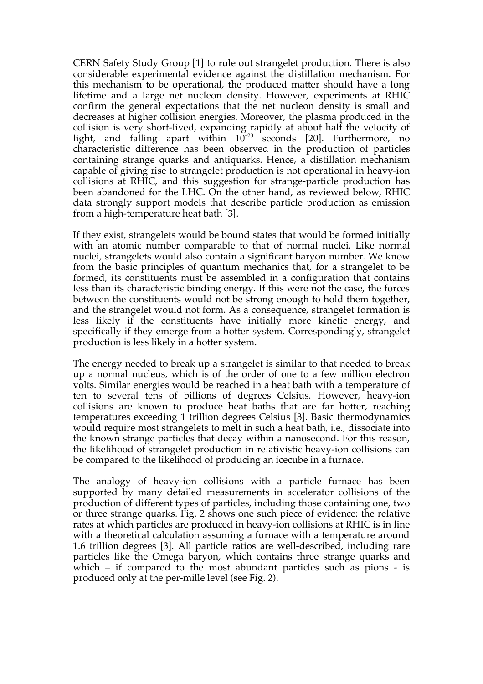CERN Safety Study Group [1] to rule out strangelet production. There is also considerable experimental evidence against the distillation mechanism. For this mechanism to be operational, the produced matter should have a long lifetime and a large net nucleon density. However, experiments at RHIC confirm the general expectations that the net nucleon density is small and decreases at higher collision energies. Moreover, the plasma produced in the collision is very short-lived, expanding rapidly at about half the velocity of light, and falling apart within  $10^{-23}$  seconds [20]. Furthermore, no characteristic difference has been observed in the production of particles containing strange quarks and antiquarks. Hence, a distillation mechanism capable of giving rise to strangelet production is not operational in heavy-ion collisions at RHIC, and this suggestion for strange-particle production has been abandoned for the LHC. On the other hand, as reviewed below, RHIC data strongly support models that describe particle production as emission from a high-temperature heat bath [3].

If they exist, strangelets would be bound states that would be formed initially with an atomic number comparable to that of normal nuclei. Like normal nuclei, strangelets would also contain a significant baryon number. We know from the basic principles of quantum mechanics that, for a strangelet to be formed, its constituents must be assembled in a configuration that contains less than its characteristic binding energy. If this were not the case, the forces between the constituents would not be strong enough to hold them together, and the strangelet would not form. As a consequence, strangelet formation is less likely if the constituents have initially more kinetic energy, and specifically if they emerge from a hotter system. Correspondingly, strangelet production is less likely in a hotter system.

The energy needed to break up a strangelet is similar to that needed to break up a normal nucleus, which is of the order of one to a few million electron volts. Similar energies would be reached in a heat bath with a temperature of ten to several tens of billions of degrees Celsius. However, heavy-ion collisions are known to produce heat baths that are far hotter, reaching temperatures exceeding 1 trillion degrees Celsius [3]. Basic thermodynamics would require most strangelets to melt in such a heat bath, i.e., dissociate into the known strange particles that decay within a nanosecond. For this reason, the likelihood of strangelet production in relativistic heavy-ion collisions can be compared to the likelihood of producing an icecube in a furnace.

The analogy of heavy-ion collisions with a particle furnace has been supported by many detailed measurements in accelerator collisions of the production of different types of particles, including those containing one, two or three strange quarks. Fig. 2 shows one such piece of evidence: the relative rates at which particles are produced in heavy-ion collisions at RHIC is in line with a theoretical calculation assuming a furnace with a temperature around 1.6 trillion degrees [3]. All particle ratios are well-described, including rare particles like the Omega baryon, which contains three strange quarks and which – if compared to the most abundant particles such as pions - is produced only at the per-mille level (see Fig. 2).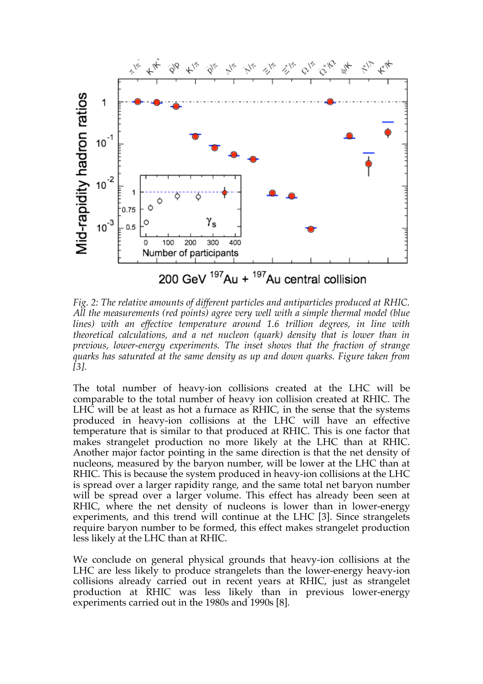

*Fig. 2: The relative amounts of different particles and antiparticles produced at RHIC. All the measurements (red points) agree very well with a simple thermal model (blue lines) with an effective temperature around 1.6 trillion degrees, in line with theoretical calculations, and a net nucleon (quark) density that is lower than in previous, lower-energy experiments. The inset shows that the fraction of strange quarks has saturated at the same density as up and down quarks. Figure taken from [3].*

The total number of heavy-ion collisions created at the LHC will be comparable to the total number of heavy ion collision created at RHIC. The LHC will be at least as hot a furnace as RHIC, in the sense that the systems produced in heavy-ion collisions at the LHC will have an effective temperature that is similar to that produced at RHIC. This is one factor that makes strangelet production no more likely at the LHC than at RHIC. Another major factor pointing in the same direction is that the net density of nucleons, measured by the baryon number, will be lower at the LHC than at RHIC. This is because the system produced in heavy-ion collisions at the LHC is spread over a larger rapidity range, and the same total net baryon number will be spread over a larger volume. This effect has already been seen at RHIC, where the net density of nucleons is lower than in lower-energy experiments, and this trend will continue at the LHC [3]. Since strangelets require baryon number to be formed, this effect makes strangelet production less likely at the LHC than at RHIC.

We conclude on general physical grounds that heavy-ion collisions at the LHC are less likely to produce strangelets than the lower-energy heavy-ion collisions already carried out in recent years at RHIC, just as strangelet production at RHIC was less likely than in previous lower-energy experiments carried out in the 1980s and 1990s [8].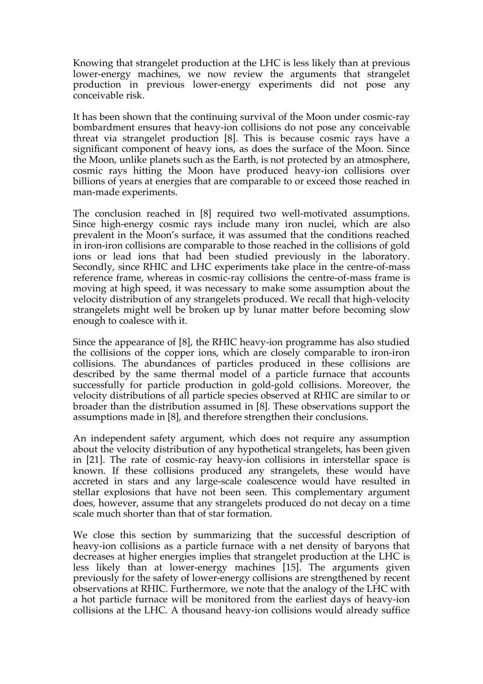Knowing that strangelet production at the LHC is less likely than at previous lower-energy machines, we now review the arguments that strangelet production in previous lower-energy experiments did not pose any conceivable risk.

It has been shown that the continuing survival of the Moon under cosmic-ray bombardment ensures that heavy-ion collisions do not pose any conceivable threat via strangelet production [8]. This is because cosmic rays have a significant component of heavy ions, as does the surface of the Moon. Since the Moon, unlike planets such as the Earth, is not protected by an atmosphere, cosmic rays hitting the Moon have produced heavy-ion collisions over billions of years at energies that are comparable to or exceed those reached in man-made experiments.

The conclusion reached in [8] required two well-motivated assumptions. Since high-energy cosmic rays include many iron nuclei, which are also prevalent in the Moon's surface, it was assumed that the conditions reached in iron-iron collisions are comparable to those reached in the collisions of gold ions or lead ions that had been studied previously in the laboratory. Secondly, since RHIC and LHC experiments take place in the centre-of-mass reference frame, whereas in cosmic-ray collisions the centre-of-mass frame is moving at high speed, it was necessary to make some assumption about the velocity distribution of any strangelets produced. We recall that high-velocity strangelets might well be broken up by lunar matter before becoming slow enough to coalesce with it.

Since the appearance of [8], the RHIC heavy-ion programme has also studied the collisions of the copper ions, which are closely comparable to iron-iron collisions. The abundances of particles produced in these collisions are described by the same thermal model of a particle furnace that accounts successfully for particle production in gold-gold collisions. Moreover, the velocity distributions of all particle species observed at RHIC are similar to or broader than the distribution assumed in [8]. These observations support the assumptions made in [8], and therefore strengthen their conclusions.

An independent safety argument, which does not require any assumption about the velocity distribution of any hypothetical strangelets, has been given in [21]. The rate of cosmic-ray heavy-ion collisions in interstellar space is known. If these collisions produced any strangelets, these would have accreted in stars and any large-scale coalescence would have resulted in stellar explosions that have not been seen. This complementary argument does, however, assume that any strangelets produced do not decay on a time scale much shorter than that of star formation.

We close this section by summarizing that the successful description of heavy-ion collisions as a particle furnace with a net density of baryons that decreases at higher energies implies that strangelet production at the LHC is less likely than at lower-energy machines [15]. The arguments given previously for the safety of lower-energy collisions are strengthened by recent observations at RHIC. Furthermore, we note that the analogy of the LHC with a hot particle furnace will be monitored from the earliest days of heavy-ion collisions at the LHC. A thousand heavy-ion collisions would already suffice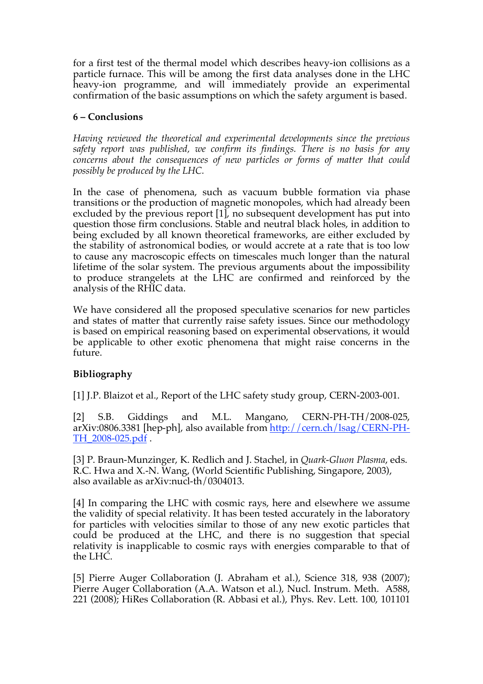for a first test of the thermal model which describes heavy-ion collisions as a particle furnace. This will be among the first data analyses done in the LHC heavy-ion programme, and will immediately provide an experimental confirmation of the basic assumptions on which the safety argument is based.

## **6 – Conclusions**

*Having reviewed the theoretical and experimental developments since the previous safety report was published, we confirm its findings. There is no basis for any concerns about the consequences of new particles or forms of matter that could possibly be produced by the LHC.*

In the case of phenomena, such as vacuum bubble formation via phase transitions or the production of magnetic monopoles, which had already been excluded by the previous report [1], no subsequent development has put into question those firm conclusions. Stable and neutral black holes, in addition to being excluded by all known theoretical frameworks, are either excluded by the stability of astronomical bodies, or would accrete at a rate that is too low to cause any macroscopic effects on timescales much longer than the natural lifetime of the solar system. The previous arguments about the impossibility to produce strangelets at the LHC are confirmed and reinforced by the analysis of the RHIC data.

We have considered all the proposed speculative scenarios for new particles and states of matter that currently raise safety issues. Since our methodology is based on empirical reasoning based on experimental observations, it would be applicable to other exotic phenomena that might raise concerns in the future.

## **Bibliography**

[1] J.P. Blaizot et al., Report of the LHC safety study group, CERN-2003-001.

[2] S.B. Giddings and M.L. Mangano, CERN-PH-TH/2008-025, arXiv:0806.3381 [hep-ph], also available from http://cern.ch/lsag/CERN-PH-TH\_2008-025.pdf .

[3] P. Braun-Munzinger, K. Redlich and J. Stachel, in *Quark-Gluon Plasma*, eds. R.C. Hwa and X.-N. Wang, (World Scientific Publishing, Singapore, 2003), also available as arXiv:nucl-th/0304013.

[4] In comparing the LHC with cosmic rays, here and elsewhere we assume the validity of special relativity. It has been tested accurately in the laboratory for particles with velocities similar to those of any new exotic particles that could be produced at the LHC, and there is no suggestion that special relativity is inapplicable to cosmic rays with energies comparable to that of the LHC.

[5] Pierre Auger Collaboration (J. Abraham et al.), Science 318, 938 (2007); Pierre Auger Collaboration (A.A. Watson et al.), Nucl. Instrum. Meth. A588, 221 (2008); HiRes Collaboration (R. Abbasi et al.), Phys. Rev. Lett. 100, 101101